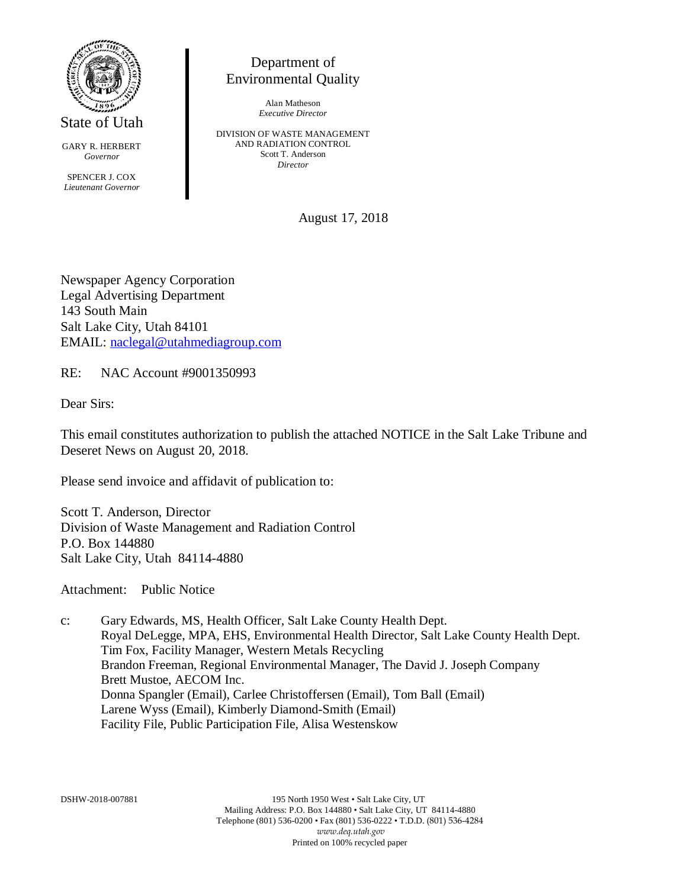

State of Utah

GARY R. HERBERT *Governor*

SPENCER J. COX *Lieutenant Governor*

## Department of Environmental Quality

Alan Matheson *Executive Director*

DIVISION OF WASTE MANAGEMENT AND RADIATION CONTROL Scott T. Anderson *Director*

August 17, 2018

Newspaper Agency Corporation Legal Advertising Department 143 South Main Salt Lake City, Utah 84101 EMAIL: [naclegal@utahmediagroup.com](mailto:naclegal@utahmediagroup.com)

RE: NAC Account #9001350993

Dear Sirs:

This email constitutes authorization to publish the attached NOTICE in the Salt Lake Tribune and Deseret News on August 20, 2018.

Please send invoice and affidavit of publication to:

Scott T. Anderson, Director Division of Waste Management and Radiation Control P.O. Box 144880 Salt Lake City, Utah 84114-4880

Attachment: Public Notice

c: Gary Edwards, MS, Health Officer, Salt Lake County Health Dept. Royal DeLegge, MPA, EHS, Environmental Health Director, Salt Lake County Health Dept. Tim Fox, Facility Manager, Western Metals Recycling Brandon Freeman, Regional Environmental Manager, The David J. Joseph Company Brett Mustoe, AECOM Inc. Donna Spangler (Email), Carlee Christoffersen (Email), Tom Ball (Email) Larene Wyss (Email), Kimberly Diamond-Smith (Email) Facility File, Public Participation File, Alisa Westenskow